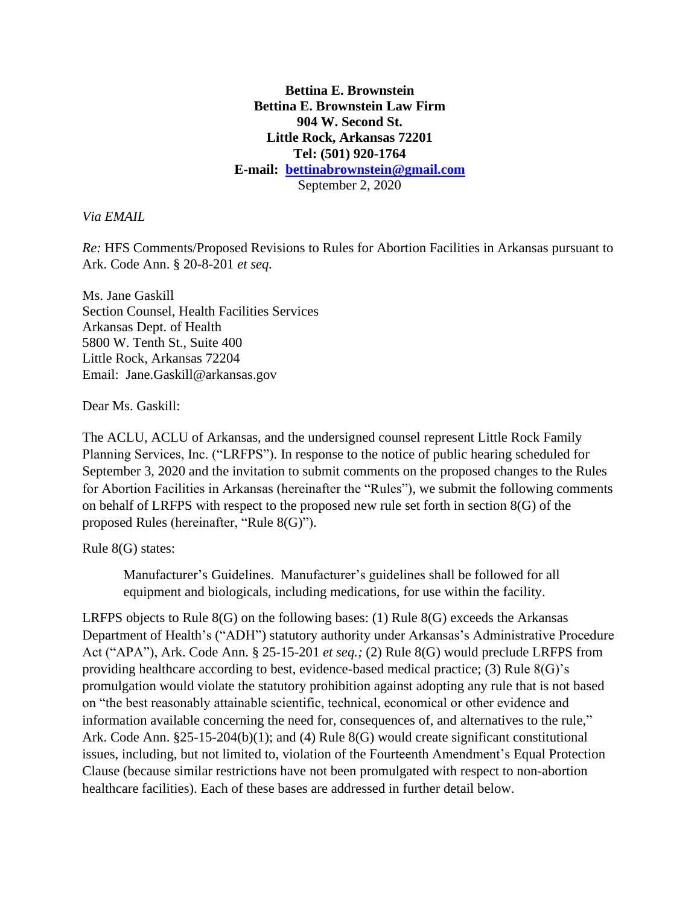#### **Bettina E. Brownstein Bettina E. Brownstein Law Firm 904 W. Second St. Little Rock, Arkansas 72201 Tel: (501) 920-1764 E-mail: [bettinabrownstein@gmail.com](mailto:bettinabrownstein@gmail.com)** September 2, 2020

*Via EMAIL*

*Re:* HFS Comments/Proposed Revisions to Rules for Abortion Facilities in Arkansas pursuant to Ark. Code Ann. § 20-8-201 *et seq.*

Ms. Jane Gaskill Section Counsel, Health Facilities Services Arkansas Dept. of Health 5800 W. Tenth St., Suite 400 Little Rock, Arkansas 72204 Email: Jane.Gaskill@arkansas.gov

Dear Ms. Gaskill:

The ACLU, ACLU of Arkansas, and the undersigned counsel represent Little Rock Family Planning Services, Inc. ("LRFPS"). In response to the notice of public hearing scheduled for September 3, 2020 and the invitation to submit comments on the proposed changes to the Rules for Abortion Facilities in Arkansas (hereinafter the "Rules"), we submit the following comments on behalf of LRFPS with respect to the proposed new rule set forth in section  $8(G)$  of the proposed Rules (hereinafter, "Rule 8(G)").

Rule 8(G) states:

Manufacturer's Guidelines. Manufacturer's guidelines shall be followed for all equipment and biologicals, including medications, for use within the facility.

LRFPS objects to Rule  $8(G)$  on the following bases: (1) Rule  $8(G)$  exceeds the Arkansas Department of Health's ("ADH") statutory authority under Arkansas's Administrative Procedure Act ("APA"), Ark. Code Ann. § 25-15-201 *et seq.;* (2) Rule 8(G) would preclude LRFPS from providing healthcare according to best, evidence-based medical practice; (3) Rule 8(G)'s promulgation would violate the statutory prohibition against adopting any rule that is not based on "the best reasonably attainable scientific, technical, economical or other evidence and information available concerning the need for, consequences of, and alternatives to the rule," Ark. Code Ann. §25-15-204(b)(1); and (4) Rule 8(G) would create significant constitutional issues, including, but not limited to, violation of the Fourteenth Amendment's Equal Protection Clause (because similar restrictions have not been promulgated with respect to non-abortion healthcare facilities). Each of these bases are addressed in further detail below.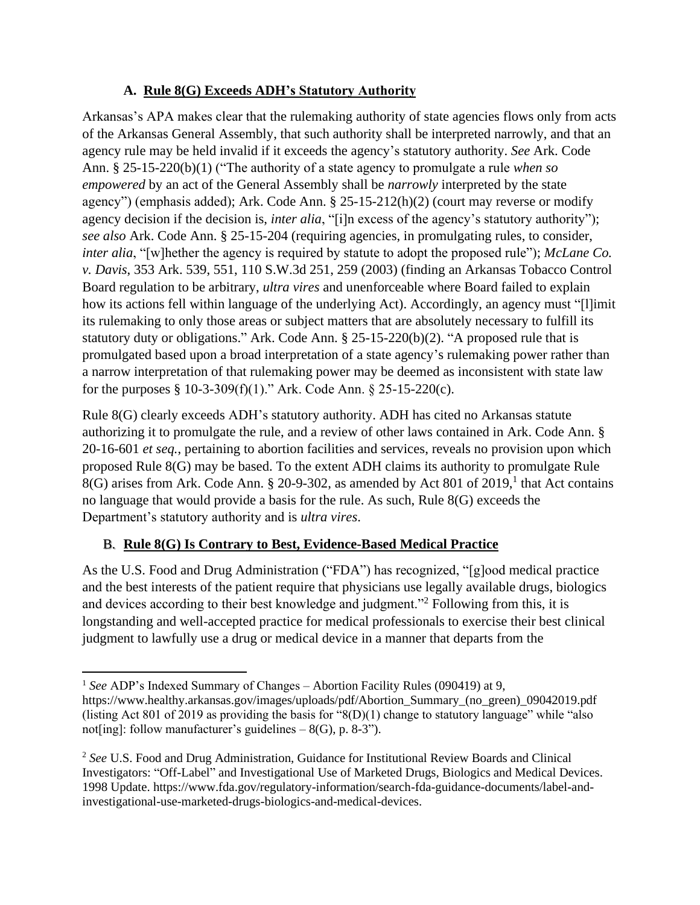## **A. Rule 8(G) Exceeds ADH's Statutory Authority**

Arkansas's APA makes clear that the rulemaking authority of state agencies flows only from acts of the Arkansas General Assembly, that such authority shall be interpreted narrowly, and that an agency rule may be held invalid if it exceeds the agency's statutory authority. *See* Ark. Code Ann. § 25-15-220(b)(1) ("The authority of a state agency to promulgate a rule *when so empowered* by an act of the General Assembly shall be *narrowly* interpreted by the state agency") (emphasis added); Ark. Code Ann. § 25-15-212(h)(2) (court may reverse or modify agency decision if the decision is, *inter alia*, "[i]n excess of the agency's statutory authority"); *see also* Ark. Code Ann. § 25-15-204 (requiring agencies, in promulgating rules, to consider, *inter alia*, "[w]hether the agency is required by statute to adopt the proposed rule"); *McLane Co. v. Davis*, 353 Ark. 539, 551, 110 S.W.3d 251, 259 (2003) (finding an Arkansas Tobacco Control Board regulation to be arbitrary, *ultra vires* and unenforceable where Board failed to explain how its actions fell within language of the underlying Act). Accordingly, an agency must "[l]imit its rulemaking to only those areas or subject matters that are absolutely necessary to fulfill its statutory duty or obligations." Ark. Code Ann. § 25-15-220(b)(2). "A proposed rule that is promulgated based upon a broad interpretation of a state agency's rulemaking power rather than a narrow interpretation of that rulemaking power may be deemed as inconsistent with state law for the purposes  $§ 10-3-309(f)(1)$ ." Ark. Code Ann.  $§ 25-15-220(c)$ .

Rule 8(G) clearly exceeds ADH's statutory authority. ADH has cited no Arkansas statute authorizing it to promulgate the rule, and a review of other laws contained in Ark. Code Ann. § 20-16-601 *et seq.*, pertaining to abortion facilities and services, reveals no provision upon which proposed Rule 8(G) may be based. To the extent ADH claims its authority to promulgate Rule 8(G) arises from Ark. Code Ann. § 20-9-302, as amended by Act 801 of 2019,<sup>1</sup> that Act contains no language that would provide a basis for the rule. As such, Rule 8(G) exceeds the Department's statutory authority and is *ultra vires*.

# B. **Rule 8(G) Is Contrary to Best, Evidence-Based Medical Practice**

As the U.S. Food and Drug Administration ("FDA") has recognized, "[g]ood medical practice and the best interests of the patient require that physicians use legally available drugs, biologics and devices according to their best knowledge and judgment."<sup>2</sup> Following from this, it is longstanding and well-accepted practice for medical professionals to exercise their best clinical judgment to lawfully use a drug or medical device in a manner that departs from the

<sup>&</sup>lt;sup>1</sup> See ADP's Indexed Summary of Changes – Abortion Facility Rules (090419) at 9,

https://www.healthy.arkansas.gov/images/uploads/pdf/Abortion\_Summary\_(no\_green)\_09042019.pdf (listing Act 801 of 2019 as providing the basis for "8(D)(1) change to statutory language" while "also not[ing]: follow manufacturer's guidelines  $-8(G)$ , p. 8-3").

<sup>2</sup> *See* U.S. Food and Drug Administration, Guidance for Institutional Review Boards and Clinical Investigators: "Off-Label" and Investigational Use of Marketed Drugs, Biologics and Medical Devices. 1998 Update. https://www.fda.gov/regulatory-information/search-fda-guidance-documents/label-andinvestigational-use-marketed-drugs-biologics-and-medical-devices.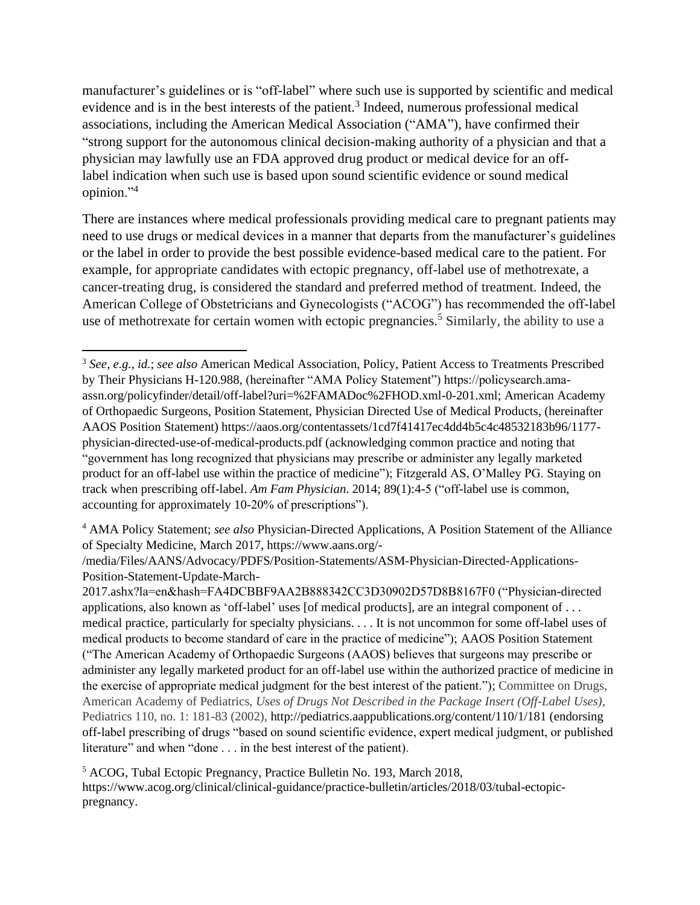manufacturer's guidelines or is "off-label" where such use is supported by scientific and medical evidence and is in the best interests of the patient.<sup>3</sup> Indeed, numerous professional medical associations, including the American Medical Association ("AMA"), have confirmed their "strong support for the autonomous clinical decision-making authority of a physician and that a physician may lawfully use an FDA approved drug product or medical device for an offlabel indication when such use is based upon sound scientific evidence or sound medical opinion."<sup>4</sup>

There are instances where medical professionals providing medical care to pregnant patients may need to use drugs or medical devices in a manner that departs from the manufacturer's guidelines or the label in order to provide the best possible evidence-based medical care to the patient. For example, for appropriate candidates with ectopic pregnancy, off-label use of methotrexate, a cancer-treating drug, is considered the standard and preferred method of treatment. Indeed, the American College of Obstetricians and Gynecologists ("ACOG") has recommended the off-label use of methotrexate for certain women with ectopic pregnancies.<sup>5</sup> Similarly, the ability to use a

<sup>3</sup> *See, e.g.*, *id.*; *see also* American Medical Association, Policy, Patient Access to Treatments Prescribed by Their Physicians H-120.988, (hereinafter "AMA Policy Statement") https://policysearch.amaassn.org/policyfinder/detail/off-label?uri=%2FAMADoc%2FHOD.xml-0-201.xml; American Academy of Orthopaedic Surgeons, Position Statement, Physician Directed Use of Medical Products, (hereinafter AAOS Position Statement) https://aaos.org/contentassets/1cd7f41417ec4dd4b5c4c48532183b96/1177 physician-directed-use-of-medical-products.pdf (acknowledging common practice and noting that "government has long recognized that physicians may prescribe or administer any legally marketed product for an off-label use within the practice of medicine"); Fitzgerald AS, O'Malley PG. Staying on track when prescribing off-label. *Am Fam Physician*. 2014; 89(1):4-5 ("off-label use is common, accounting for approximately 10-20% of prescriptions").

<sup>4</sup> AMA Policy Statement; *see also* Physician-Directed Applications, A Position Statement of the Alliance of Specialty Medicine, March 2017, https://www.aans.org/-

<sup>/</sup>media/Files/AANS/Advocacy/PDFS/Position-Statements/ASM-Physician-Directed-Applications-Position-Statement-Update-March-

<sup>2017.</sup>ashx?la=en&hash=FA4DCBBF9AA2B888342CC3D30902D57D8B8167F0 ("Physician-directed applications, also known as 'off-label' uses [of medical products], are an integral component of . . . medical practice, particularly for specialty physicians. . . . It is not uncommon for some off-label uses of medical products to become standard of care in the practice of medicine"); AAOS Position Statement ("The American Academy of Orthopaedic Surgeons (AAOS) believes that surgeons may prescribe or administer any legally marketed product for an off-label use within the authorized practice of medicine in the exercise of appropriate medical judgment for the best interest of the patient."); Committee on Drugs, American Academy of Pediatrics, *Uses of Drugs Not Described in the Package Insert (Off-Label Uses)*, Pediatrics 110, no. 1: 181-83 (2002), http://pediatrics.aappublications.org/content/110/1/181 (endorsing off-label prescribing of drugs "based on sound scientific evidence, expert medical judgment, or published literature" and when "done . . . in the best interest of the patient).

<sup>5</sup> ACOG, Tubal Ectopic Pregnancy, Practice Bulletin No. 193, March 2018, https://www.acog.org/clinical/clinical-guidance/practice-bulletin/articles/2018/03/tubal-ectopicpregnancy.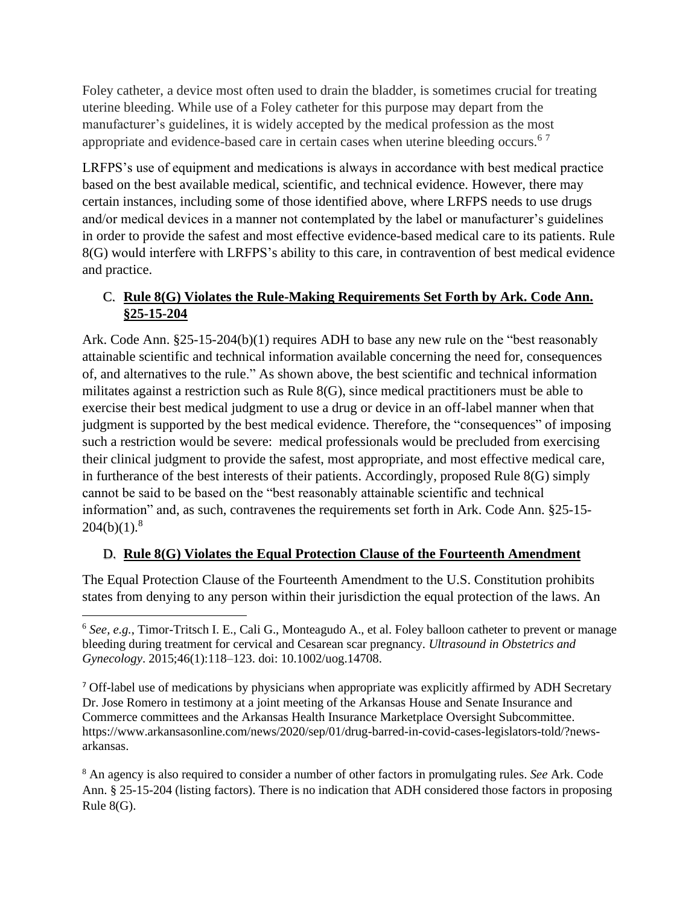Foley catheter, a device most often used to drain the bladder, is sometimes crucial for treating uterine bleeding. While use of a Foley catheter for this purpose may depart from the manufacturer's guidelines, it is widely accepted by the medical profession as the most appropriate and evidence-based care in certain cases when uterine bleeding occurs.<sup>67</sup>

LRFPS's use of equipment and medications is always in accordance with best medical practice based on the best available medical, scientific, and technical evidence. However, there may certain instances, including some of those identified above, where LRFPS needs to use drugs and/or medical devices in a manner not contemplated by the label or manufacturer's guidelines in order to provide the safest and most effective evidence-based medical care to its patients. Rule 8(G) would interfere with LRFPS's ability to this care, in contravention of best medical evidence and practice.

## C. **Rule 8(G) Violates the Rule-Making Requirements Set Forth by Ark. Code Ann. §25-15-204**

Ark. Code Ann. §25-15-204(b)(1) requires ADH to base any new rule on the "best reasonably attainable scientific and technical information available concerning the need for, consequences of, and alternatives to the rule." As shown above, the best scientific and technical information militates against a restriction such as Rule 8(G), since medical practitioners must be able to exercise their best medical judgment to use a drug or device in an off-label manner when that judgment is supported by the best medical evidence. Therefore, the "consequences" of imposing such a restriction would be severe: medical professionals would be precluded from exercising their clinical judgment to provide the safest, most appropriate, and most effective medical care, in furtherance of the best interests of their patients. Accordingly, proposed Rule 8(G) simply cannot be said to be based on the "best reasonably attainable scientific and technical information" and, as such, contravenes the requirements set forth in Ark. Code Ann. §25-15-  $204(b)(1).<sup>8</sup>$ 

## D. **Rule 8(G) Violates the Equal Protection Clause of the Fourteenth Amendment**

The Equal Protection Clause of the Fourteenth Amendment to the U.S. Constitution prohibits states from denying to any person within their jurisdiction the equal protection of the laws. An

<sup>7</sup> Off-label use of medications by physicians when appropriate was explicitly affirmed by ADH Secretary Dr. Jose Romero in testimony at a joint meeting of the Arkansas House and Senate Insurance and Commerce committees and the Arkansas Health Insurance Marketplace Oversight Subcommittee. https://www.arkansasonline.com/news/2020/sep/01/drug-barred-in-covid-cases-legislators-told/?newsarkansas.

<sup>8</sup> An agency is also required to consider a number of other factors in promulgating rules. *See* Ark. Code Ann. § 25-15-204 (listing factors). There is no indication that ADH considered those factors in proposing Rule 8(G).

<sup>6</sup> *See, e.g.*, Timor-Tritsch I. E., Cali G., Monteagudo A., et al. Foley balloon catheter to prevent or manage bleeding during treatment for cervical and Cesarean scar pregnancy. *Ultrasound in Obstetrics and Gynecology*. 2015;46(1):118–123. doi: 10.1002/uog.14708.